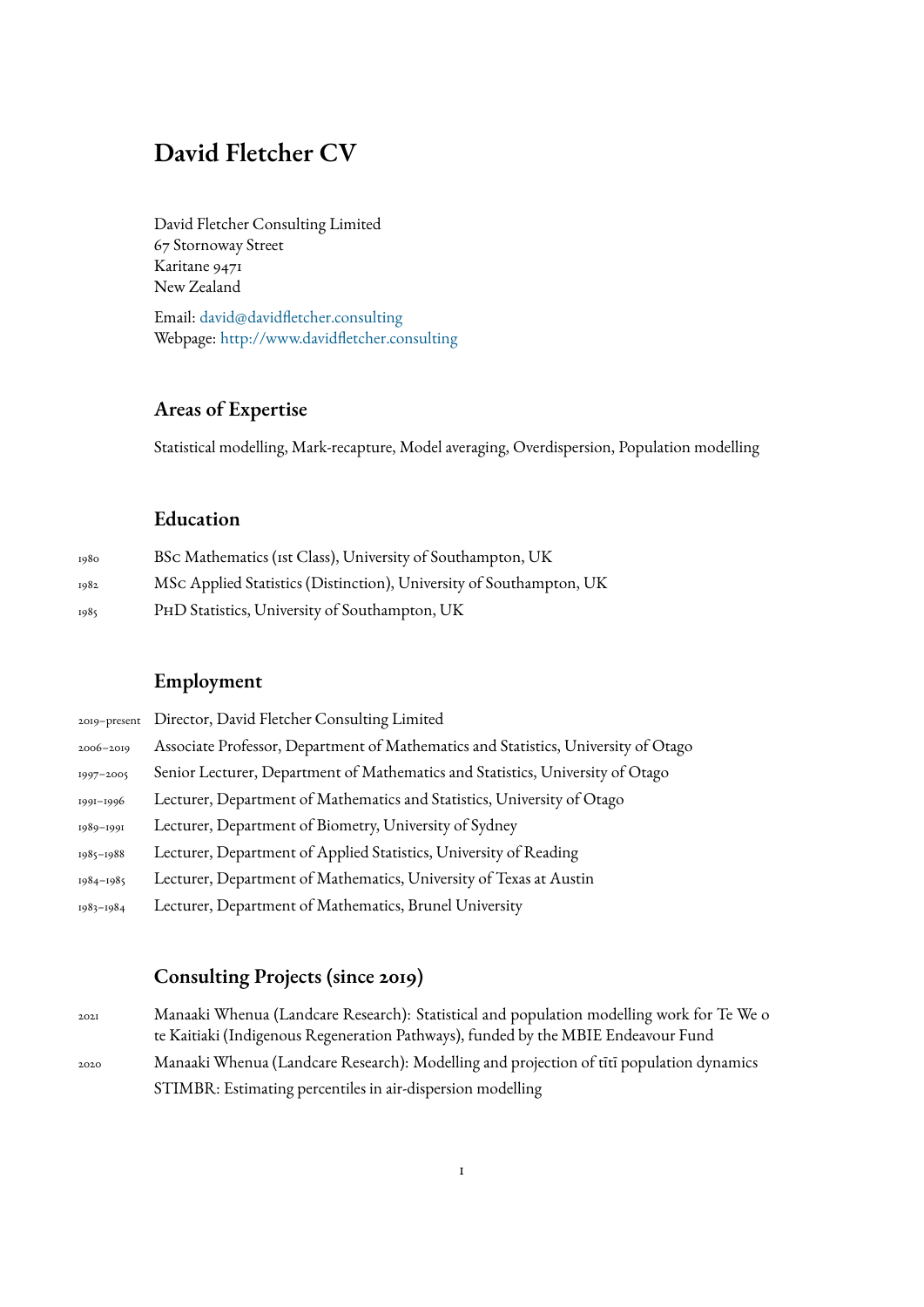## **David Fletcher CV**

David Fletcher Consulting Limited 67 Stornoway Street Karitane 9471 New Zealand

Email: david@davidfletcher.consulting Webpage: http://www.davidfletcher.consulting

#### **Areas of Expertise**

Statistical modelling, Mark-recapture, Model averaging, Overdispersion, Population modelling

#### **Education**

| 1980 | BSc Mathematics (ist Class), University of Southampton, UK          |
|------|---------------------------------------------------------------------|
| 1982 | MSc Applied Statistics (Distinction), University of Southampton, UK |
| 1985 | PHD Statistics, University of Southampton, UK                       |

### **Employment**

|           | 2019-present Director, David Fletcher Consulting Limited                           |
|-----------|------------------------------------------------------------------------------------|
| 2006-2019 | Associate Professor, Department of Mathematics and Statistics, University of Otago |
| 1997-2005 | Senior Lecturer, Department of Mathematics and Statistics, University of Otago     |
| 1991-1996 | Lecturer, Department of Mathematics and Statistics, University of Otago            |
| 1989-1991 | Lecturer, Department of Biometry, University of Sydney                             |
| 1985-1988 | Lecturer, Department of Applied Statistics, University of Reading                  |
| 1984-1985 | Lecturer, Department of Mathematics, University of Texas at Austin                 |
| 1983-1984 | Lecturer, Department of Mathematics, Brunel University                             |

### **Consulting Projects (since 2019)**

2021 Manaaki Whenua (Landcare Research): Statistical and population modelling work for Te We o te Kaitiaki (Indigenous Regeneration Pathways), funded by the MBIE Endeavour Fund 2020 Manaaki Whenua (Landcare Research): Modelling and projection of tītī population dynamics STIMBR: Estimating percentiles in air-dispersion modelling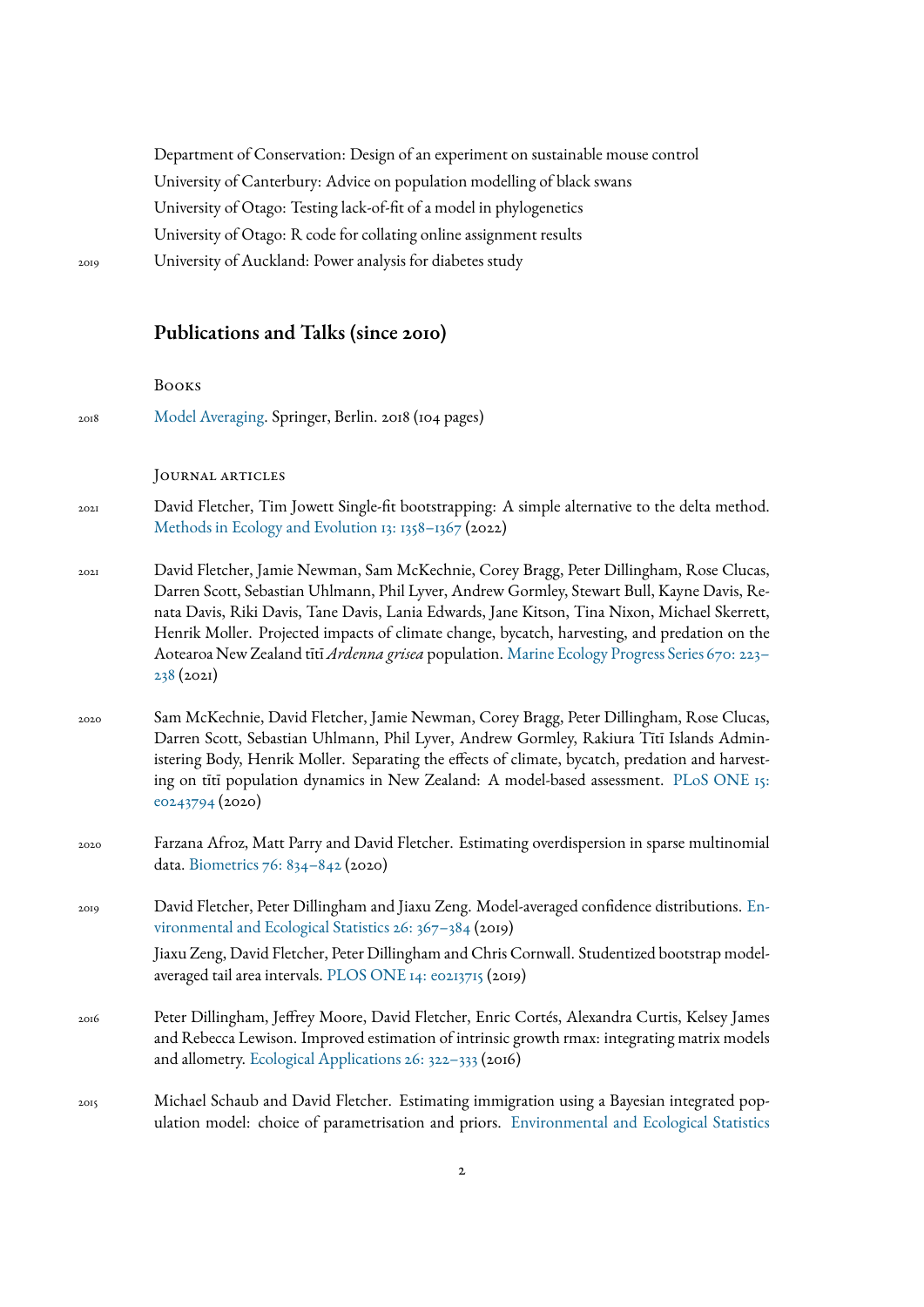Department of Conservation: Design of an experiment on sustainable mouse control University of Canterbury: Advice on population modelling of black swans University of Otago: Testing lack-of-fit of a model in phylogenetics University of Otago: R code for collating online assignment results 2019 University of Auckland: Power analysis for diabetes study

## **Publications and Talks (since 2010)**

| 2018 | Model Averaging. Springer, Berlin. 2018 (104 pages)                                                                                                                                                                                                                                                                                                                                                                                                                                                     |
|------|---------------------------------------------------------------------------------------------------------------------------------------------------------------------------------------------------------------------------------------------------------------------------------------------------------------------------------------------------------------------------------------------------------------------------------------------------------------------------------------------------------|
|      | JOURNAL ARTICLES                                                                                                                                                                                                                                                                                                                                                                                                                                                                                        |
| 202I | David Fletcher, Tim Jowett Single-fit bootstrapping: A simple alternative to the delta method.<br>Methods in Ecology and Evolution 13: 1358-1367 (2022)                                                                                                                                                                                                                                                                                                                                                 |
| 202I | David Fletcher, Jamie Newman, Sam McKechnie, Corey Bragg, Peter Dillingham, Rose Clucas,<br>Darren Scott, Sebastian Uhlmann, Phil Lyver, Andrew Gormley, Stewart Bull, Kayne Davis, Re-<br>nata Davis, Riki Davis, Tane Davis, Lania Edwards, Jane Kitson, Tina Nixon, Michael Skerrett,<br>Henrik Moller. Projected impacts of climate change, bycatch, harvesting, and predation on the<br>Aotearoa New Zealand tītī Ardenna grisea population. Marine Ecology Progress Series 670: 223-<br>238(2021) |
| 2020 | Sam McKechnie, David Fletcher, Jamie Newman, Corey Bragg, Peter Dillingham, Rose Clucas,<br>Darren Scott, Sebastian Uhlmann, Phil Lyver, Andrew Gormley, Rakiura Tītī Islands Admin-<br>istering Body, Henrik Moller. Separating the effects of climate, bycatch, predation and harvest-<br>ing on titi population dynamics in New Zealand: A model-based assessment. PLoS ONE 15:<br>eo243794 (2020)                                                                                                   |
| 2020 | Farzana Afroz, Matt Parry and David Fletcher. Estimating overdispersion in sparse multinomial<br>data. Biometrics 76: 834-842 (2020)                                                                                                                                                                                                                                                                                                                                                                    |
| 2019 | David Fletcher, Peter Dillingham and Jiaxu Zeng. Model-averaged confidence distributions. En-<br>vironmental and Ecological Statistics 26: 367-384 (2019)                                                                                                                                                                                                                                                                                                                                               |
|      | Jiaxu Zeng, David Fletcher, Peter Dillingham and Chris Cornwall. Studentized bootstrap model-<br>averaged tail area intervals. PLOS ONE 14: e0213715 (2019)                                                                                                                                                                                                                                                                                                                                             |
| 2016 | Peter Dillingham, Jeffrey Moore, David Fletcher, Enric Cortés, Alexandra Curtis, Kelsey James<br>and Rebecca Lewison. Improved estimation of intrinsic growth rmax: integrating matrix models<br>and allometry. Ecological Applications 26: 322-333 (2016)                                                                                                                                                                                                                                              |
| 2015 | Michael Schaub and David Fletcher. Estimating immigration using a Bayesian integrated pop-<br>ulation model: choice of parametrisation and priors. Environmental and Ecological Statistics                                                                                                                                                                                                                                                                                                              |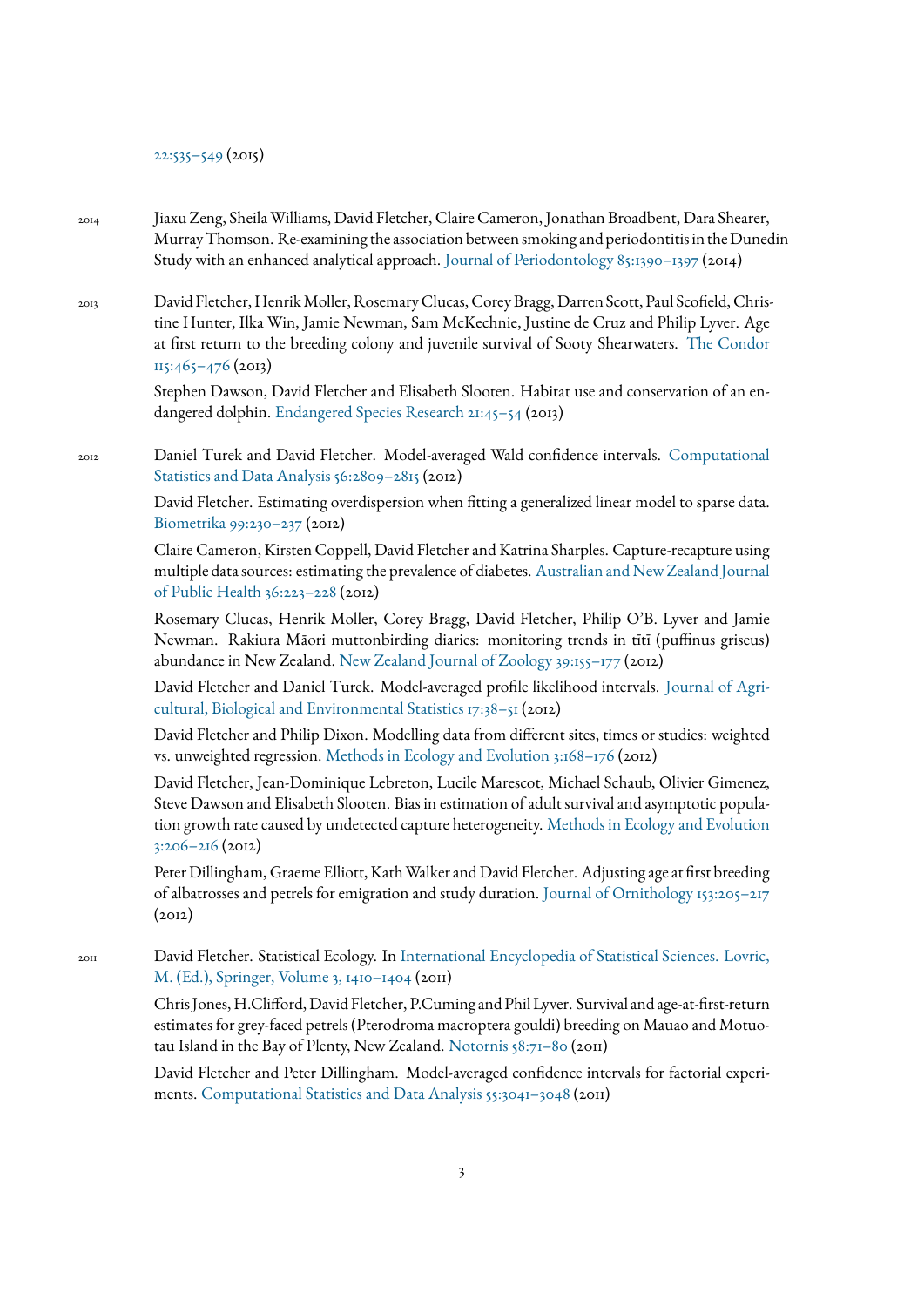[22:535–549](https://link.springer.com/article/10.1007/s10651-015-0309-8) (2015)

- 2014 Jiaxu Zeng, Sheila Williams, David Fletcher, Claire Cameron, Jonathan Broadbent, Dara Shearer, MurrayThomson. Re-examining the association between smoking and periodontitis in the Dunedin Study with an enhanced analytical approach. [Journal of Periodontology 85:1390–1397](https://aap.onlinelibrary.wiley.com/doi/abs/10.1902/jop.2014.130577) (2014)
- 2013 David Fletcher, Henrik Moller, Rosemary Clucas, Corey Bragg, Darren Scott, Paul Scofield, Christine Hunter, Ilka Win, Jamie Newman, Sam McKechnie, Justine de Cruz and Philip Lyver. Age at first return to the breeding colony and juvenile survival of Sooty Shearwaters. [The Condor](https://academic.oup.com/condor/article/115/3/465/5152874?login=true) [115:465–476](https://academic.oup.com/condor/article/115/3/465/5152874?login=true) (2013)

Stephen Dawson, David Fletcher and Elisabeth Slooten. Habitat use and conservation of an endangered dolphin. [Endangered Species Research 21:45–54](https://www.int-res.com/abstracts/esr/v21/n1/p45-54/) (2013)

<sub>2012</sub> Daniel Turek and David Fletcher. Model-averaged Wald confidence intervals. [Computational](https://www.sciencedirect.com/science/article/abs/pii/S0167947312001144) Statistics and Data Analysis 56:2809-2815 (2012)

> David Fletcher. Estimating overdispersion when tting a generalized linear model to sparse data. [Biometrika 99:230–237](https://academic.oup.com/biomet/article-abstract/99/1/230/252440) (2012)

> Claire Cameron, Kirsten Coppell, David Fletcher and Katrina Sharples. Capture-recapture using multiple data sources: estimating the prevalence of diabetes. [Australian and New Zealand Journal](https://onlinelibrary.wiley.com/doi/full/10.1111/j.1753-6405.2012.00868.x) [of Public Health 36:223–228](https://onlinelibrary.wiley.com/doi/full/10.1111/j.1753-6405.2012.00868.x) (2012)

> Rosemary Clucas, Henrik Moller, Corey Bragg, David Fletcher, Philip O'B. Lyver and Jamie Newman. Rakiura Māori muttonbirding diaries: monitoring trends in tītī (puffinus griseus) abundance in New Zealand. [New Zealand Journal of Zoology 39:155–177](https://www.tandfonline.com/doi/full/10.1080/03014223.2011.621438) (2012)

> David Fletcher and Daniel Turek. Model-averaged profile likelihood intervals. [Journal of Agri](https://link.springer.com/article/10.1007%2Fs13253-011-0064-8)[cultural, Biological and Environmental Statistics 17:38–51](https://link.springer.com/article/10.1007%2Fs13253-011-0064-8) (2012)

> David Fletcher and Philip Dixon. Modelling data from different sites, times or studies: weighted vs. unweighted regression. [Methods in Ecology and Evolution 3:168–176](https://besjournals.onlinelibrary.wiley.com/doi/full/10.1111/j.2041-210X.2011.00140.x) (2012)

> David Fletcher, Jean-Dominique Lebreton, Lucile Marescot, Michael Schaub, Olivier Gimenez, Steve Dawson and Elisabeth Slooten. Bias in estimation of adult survival and asymptotic population growth rate caused by undetected capture heterogeneity. [Methods in Ecology and Evolution](https://besjournals.onlinelibrary.wiley.com/doi/full/10.1111/j.2041-210X.2011.00137.x) [3:206–216](https://besjournals.onlinelibrary.wiley.com/doi/full/10.1111/j.2041-210X.2011.00137.x) (2012)

> Peter Dillingham, Graeme Elliott, Kath Walker and David Fletcher. Adjusting age at first breeding of albatrosses and petrels for emigration and study duration. [Journal of Ornithology 153:205–217](https://link.springer.com/article/10.1007%2Fs10336-011-0729-7)  $(2012)$

2011 David Fletcher. Statistical Ecology. In [International Encyclopedia of Statistical Sciences. Lovric,](https://link.springer.com/referencework/10.1007/978-3-642-04898-2) [M. \(Ed.\), Springer, Volume 3, 1410–1404](https://link.springer.com/referencework/10.1007/978-3-642-04898-2) (2011)

> Chris Jones, H.Clifford, David Fletcher, P.Cuming and Phil Lyver. Survival and age-at-first-return estimates for grey-faced petrels (Pterodroma macroptera gouldi) breeding on Mauao and Motuotau Island in the Bay of Plenty, New Zealand. [Notornis 58:71–80](https://notornis.osnz.org.nz/survival-and-age-first-return-estimates-grey-faced-petrels-pterodroma-macroptera-gouldi-breeding-mau) (2011)

> David Fletcher and Peter Dillingham. Model-averaged condence intervals for factorial experiments. [Computational Statistics and Data Analysis 55:3041–3048](https://www.sciencedirect.com/science/article/abs/pii/S0167947311001800) (2011)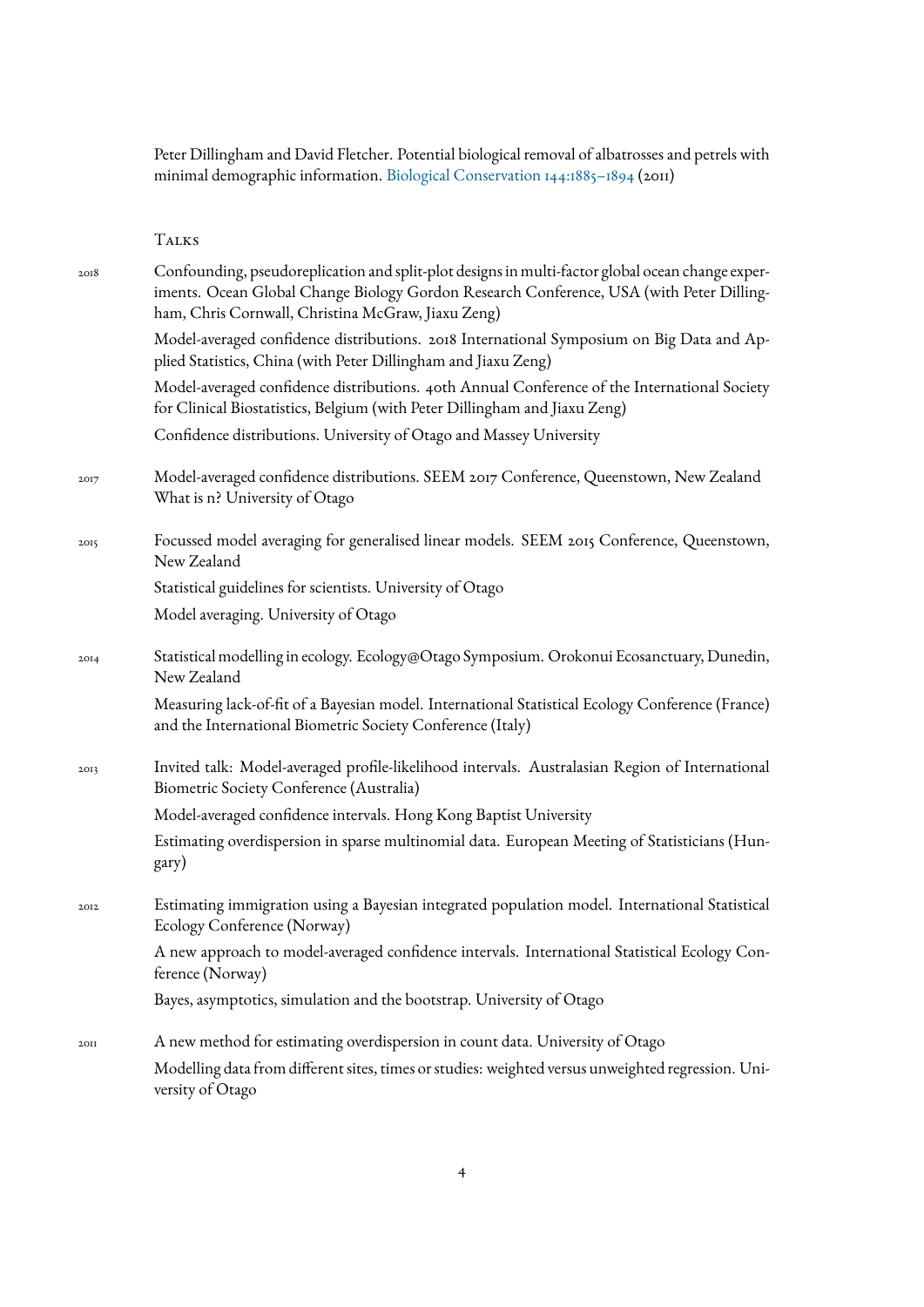Peter Dillingham and David Fletcher. Potential biological removal of albatrosses and petrels with minimal demographic information. [Biological Conservation 144:1885–1894](https://www.sciencedirect.com/science/article/abs/pii/S0006320711001546) (2011)

Talks

| 2018 | Confounding, pseudoreplication and split-plot designs in multi-factor global ocean change exper-<br>iments. Ocean Global Change Biology Gordon Research Conference, USA (with Peter Dilling-<br>ham, Chris Cornwall, Christina McGraw, Jiaxu Zeng) |
|------|----------------------------------------------------------------------------------------------------------------------------------------------------------------------------------------------------------------------------------------------------|
|      | Model-averaged confidence distributions. 2018 International Symposium on Big Data and Ap-<br>plied Statistics, China (with Peter Dillingham and Jiaxu Zeng)                                                                                        |
|      | Model-averaged confidence distributions. 40th Annual Conference of the International Society<br>for Clinical Biostatistics, Belgium (with Peter Dillingham and Jiaxu Zeng)                                                                         |
|      | Confidence distributions. University of Otago and Massey University                                                                                                                                                                                |
| 2017 | Model-averaged confidence distributions. SEEM 2017 Conference, Queenstown, New Zealand<br>What is n? University of Otago                                                                                                                           |
| 2015 | Focussed model averaging for generalised linear models. SEEM 2015 Conference, Queenstown,<br>New Zealand                                                                                                                                           |
|      | Statistical guidelines for scientists. University of Otago                                                                                                                                                                                         |
|      | Model averaging. University of Otago                                                                                                                                                                                                               |
| 20I4 | Statistical modelling in ecology. Ecology@Otago Symposium. Orokonui Ecosanctuary, Dunedin,<br>New Zealand                                                                                                                                          |
|      | Measuring lack-of-fit of a Bayesian model. International Statistical Ecology Conference (France)<br>and the International Biometric Society Conference (Italy)                                                                                     |
| 2013 | Invited talk: Model-averaged profile-likelihood intervals. Australasian Region of International<br>Biometric Society Conference (Australia)                                                                                                        |
|      | Model-averaged confidence intervals. Hong Kong Baptist University                                                                                                                                                                                  |
|      | Estimating overdispersion in sparse multinomial data. European Meeting of Statisticians (Hun-<br>gary)                                                                                                                                             |
| 2012 | Estimating immigration using a Bayesian integrated population model. International Statistical<br>Ecology Conference (Norway)                                                                                                                      |
|      | A new approach to model-averaged confidence intervals. International Statistical Ecology Con-<br>ference (Norway)                                                                                                                                  |
|      | Bayes, asymptotics, simulation and the bootstrap. University of Otago                                                                                                                                                                              |
| 20II | A new method for estimating overdispersion in count data. University of Otago                                                                                                                                                                      |
|      | Modelling data from different sites, times or studies: weighted versus unweighted regression. Uni-<br>versity of Otago                                                                                                                             |